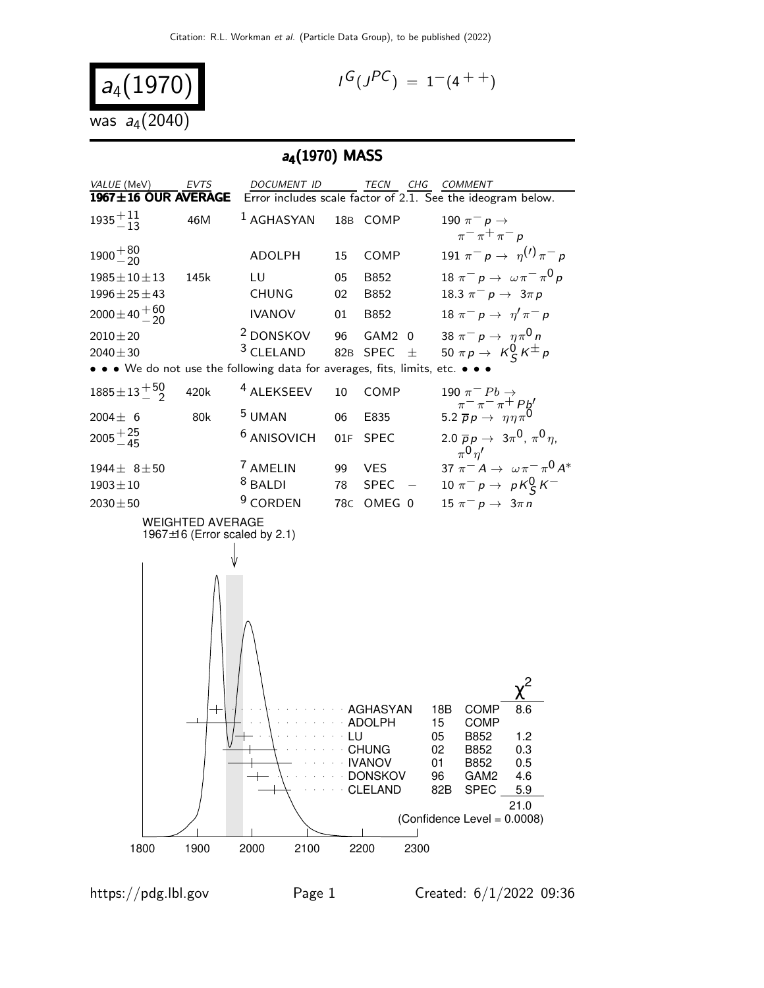$$
a_4(1970) \n\text{was } a_4(2040)
$$

$$
I^G(J^{PC}) = 1^-(4^{++})
$$

# a<sub>4</sub>(1970) MASS

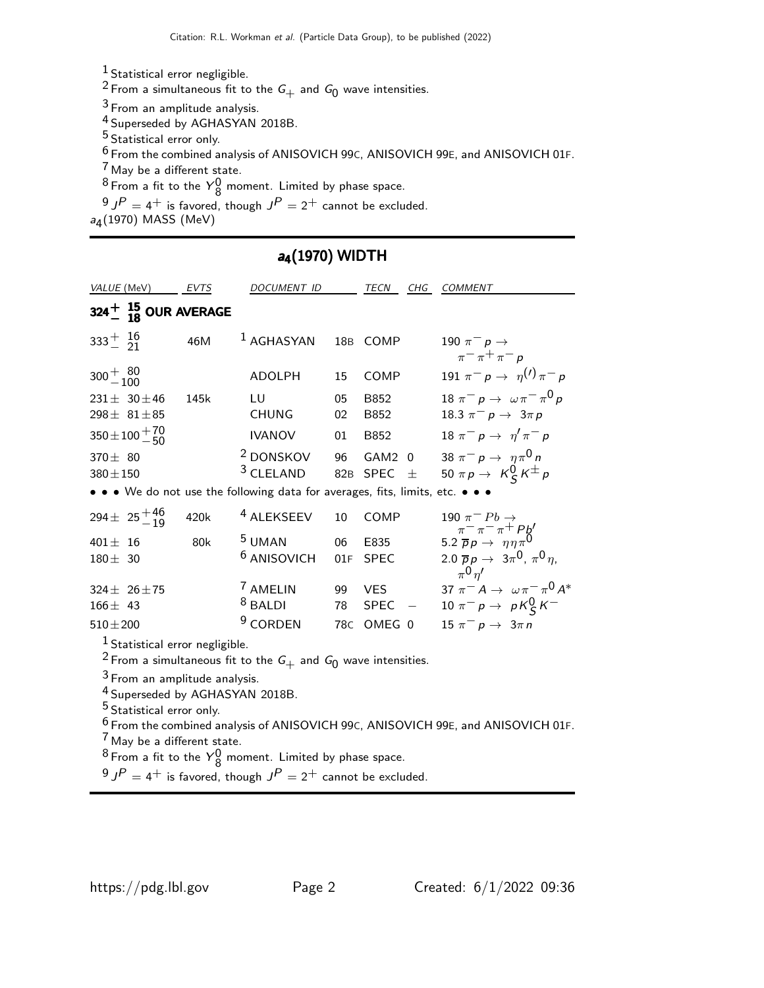Statistical error negligible.

<sup>2</sup> From a simultaneous fit to the  $G_+$  and  $G_0$  wave intensities.

From an amplitude analysis.

Superseded by AGHASYAN 2018B.

Statistical error only.

From the combined analysis of ANISOVICH 99C, ANISOVICH 99E, and ANISOVICH 01F.

May be a different state.

From a fit to the  $Y_8^0$  moment. Limited by phase space.

J $^P = 4^+$  is favored, though  $J^P = 2^+$  cannot be excluded.

a<sub>4</sub>(1970) MASS (MeV)

### a<sub>4</sub>(1970) WIDTH

| VALUE (MeV)                                                                                                        | EVTS | DOCUMENT ID                                                      |           | <b>TECN</b><br>CHG                | <b>COMMENT</b>                                                                                                   |
|--------------------------------------------------------------------------------------------------------------------|------|------------------------------------------------------------------|-----------|-----------------------------------|------------------------------------------------------------------------------------------------------------------|
| $324 + 15 \over 18$ OUR AVERAGE                                                                                    |      |                                                                  |           |                                   |                                                                                                                  |
| $333^{+}_{-}$ $^{16}_{21}$                                                                                         | 46M  | $1$ AGHASYAN                                                     |           | 18B COMP                          | 190 $\pi^-$ p $\rightarrow$<br>$\pi$ <sup>-</sup> $\pi$ <sup>+</sup> $\pi$ <sup>-</sup> $p$                      |
| $300 + \frac{80}{100}$                                                                                             |      | <b>ADOLPH</b>                                                    | 15        | COMP                              | 191 $\pi^ p \to \eta^{(1)} \pi^ p$                                                                               |
| $231 \pm 30 \pm 46$<br>298 $\pm$ 81 $\pm$ 85                                                                       | 145k | LU<br><b>CHUNG</b>                                               | 05<br>02  | B852<br>B852                      | 18 $\pi^ p \rightarrow \omega \pi^- \pi^0 p$<br>18.3 $\pi^- p \to 3\pi p$                                        |
| $350 \pm 100 + \frac{70}{50}$                                                                                      |      | <b>IVANOV</b>                                                    | 01        | B852                              | $18 \pi^{-} p \rightarrow \eta' \pi^{-} p$                                                                       |
| $370 \pm 80$<br>$380 \pm 150$                                                                                      |      | <sup>2</sup> DONSKOV<br><sup>3</sup> CLELAND                     |           | 96 GAM2 0<br>82B SPEC<br>士        | 38 $\pi^- p \to \eta \pi^0 n$<br>50 $\pi p \rightarrow K_S^0 K^{\pm} p$                                          |
| • • • We do not use the following data for averages, fits, limits, etc. • • •                                      |      |                                                                  |           |                                   |                                                                                                                  |
| 294 ± $25^{+46}_{-19}$                                                                                             | 420k | <sup>4</sup> ALEKSEEV                                            | 10        | <b>COMP</b>                       | 190 $\pi^{-}Pb \rightarrow$<br>$\pi^{-}\pi^{-}\pi^{+}Pb'$<br>5.2 $\overline{p}p \rightarrow \eta\eta\pi^{0}$     |
| $401 \pm 16$<br>$180 \pm 30$                                                                                       | 80k  | <sup>5</sup> UMAN<br><sup>6</sup> ANISOVICH                      | 06<br>01F | E835<br><b>SPEC</b>               | 2.0 $\overline{p}p \to 3\pi^0$ , $\pi^0 \eta$ ,<br>$\pi^0$ $n'$                                                  |
| 324 $\pm$ 26 $\pm$ 75<br>$166 \pm 43$<br>$510 \pm 200$                                                             |      | <sup>7</sup> AMELIN<br><sup>8</sup> BALDI<br><sup>9</sup> CORDEN |           | 99 VES<br>78 SPEC –<br>78C OMEG 0 | 37 $\pi^- A \to \omega \pi^- \pi^0 A^*$<br>10 $\pi^ p \rightarrow pK_S^0 K^-$<br>$15 \pi^- p \rightarrow 3\pi n$ |
| $1$ Statistical error negligible.<br><sup>2</sup> From a simultaneous fit to the $G_+$ and $G_0$ wave intensities. |      |                                                                  |           |                                   |                                                                                                                  |
| $3$ From an amplitude analysis.<br><sup>4</sup> Superseded by AGHASYAN 2018B.                                      |      |                                                                  |           |                                   |                                                                                                                  |

Statistical error only.

 From the combined analysis of ANISOVICH 99C, ANISOVICH 99E, and ANISOVICH 01F. May be a different state.

From a fit to the  $Y_8^0$  moment. Limited by phase space.

J $^D=4^+$  is favored, though  $J^P=2^+$  cannot be excluded.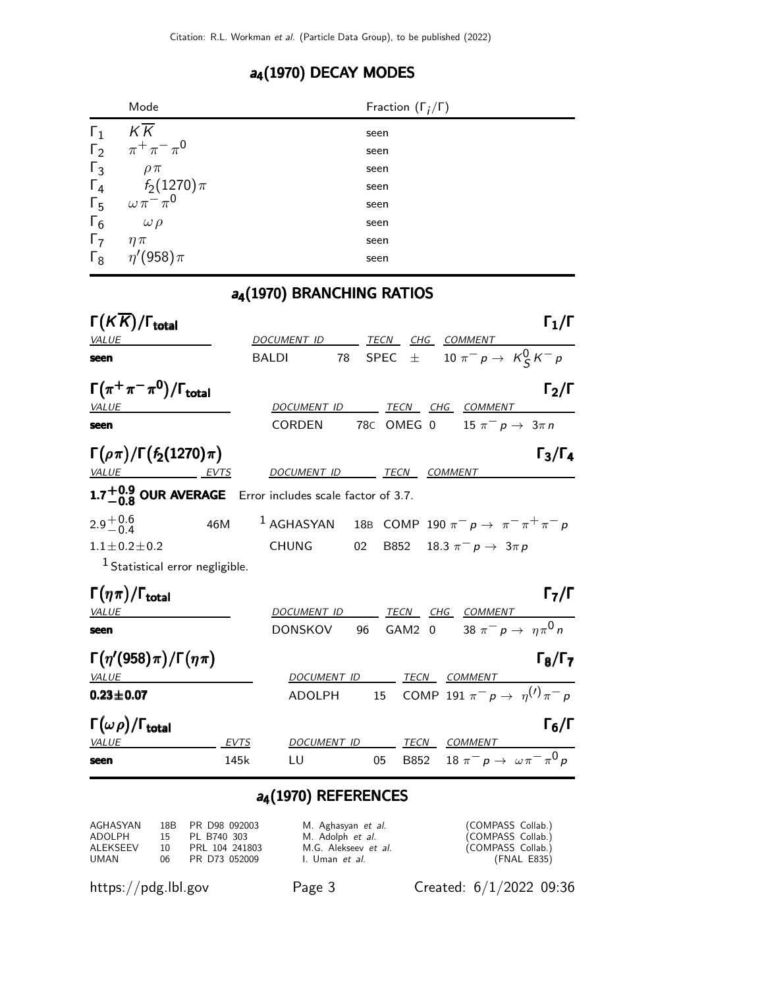# a<sub>4</sub>(1970) DECAY MODES

|            | Mode                           | Fraction $(\Gamma_i/\Gamma)$ |
|------------|--------------------------------|------------------------------|
| $\Gamma_1$ | $K\overline{K}$                | seen                         |
|            | $\Gamma_2$ $\pi^+ \pi^- \pi^0$ | seen                         |
| $\Gamma_3$ | $\rho \pi$                     | seen                         |
| $\Gamma_4$ | $f_2(1270)\pi$                 | seen                         |
| $\Gamma_5$ | $\omega \pi^{-} \pi^{0}$       | seen                         |
| $\Gamma_6$ | $\omega \rho$                  | seen                         |
| $\Gamma_7$ | $\eta \pi$                     | seen                         |
| $\Gamma_8$ | $\eta'(958)\pi$                | seen                         |

### a<sub>4</sub>(1970) BRANCHING RATIOS

| $\Gamma(KK)/\Gamma_{\rm total}$                                     |             |                              |    |    |                                | $\Gamma_1/\Gamma$                                                            |
|---------------------------------------------------------------------|-------------|------------------------------|----|----|--------------------------------|------------------------------------------------------------------------------|
| VALUE                                                               |             | DOCUMENT ID TECN CHG COMMENT |    |    |                                |                                                                              |
| seen                                                                |             | <b>BALDI</b>                 |    |    |                                | 78 SPEC $\pm$ 10 $\pi^- p \to K_S^0 K^- p$                                   |
| $\Gamma(\pi^+\pi^-\pi^0)/\Gamma_{\rm total}$<br>VALUE               |             | DOCUMENT ID                  |    |    | <u>TECN CHG COMMENT</u>        | $\Gamma_2/\Gamma$                                                            |
| seen                                                                |             | <b>CORDEN</b>                |    |    |                                | 78C OMEG 0 $15 \pi^- p \rightarrow 3 \pi n$                                  |
| $\Gamma(\rho\pi)/\Gamma(f_2(1270)\pi)$                              |             |                              |    |    |                                | $\Gamma_3/\Gamma_4$                                                          |
| <u>VALUE EVTS</u>                                                   |             | DOCUMENT ID TECN             |    |    | <b>COMMENT</b>                 |                                                                              |
| 1.7 <sup>+0.9</sup> OUR AVERAGE Error includes scale factor of 3.7. |             |                              |    |    |                                |                                                                              |
| $2.9^{+0.6}_{-0.4}$                                                 | 46M         |                              |    |    |                                | <sup>1</sup> AGHASYAN 18B COMP 190 $\pi^- p \rightarrow \pi^- \pi^+ \pi^- p$ |
| $1.1 \pm 0.2 \pm 0.2$                                               |             | <b>CHUNG</b>                 | 02 |    | B852 18.3 $\pi^- p \to 3\pi p$ |                                                                              |
| <sup>1</sup> Statistical error negligible.                          |             |                              |    |    |                                |                                                                              |
| $\Gamma(\eta\pi)/\Gamma_{\rm total}$                                |             |                              |    |    |                                | $\mathsf{\Gamma}_7/\mathsf{\Gamma}$                                          |
| VALUE                                                               |             | DOCUMENT ID                  |    |    | TECN CHG COMMENT               |                                                                              |
| seen                                                                |             | <b>DONSKOV</b>               | 96 |    |                                | GAM2 0 38 $\pi^- p \to \eta \pi^0 n$                                         |
| $\Gamma(\eta'(958)\pi)/\Gamma(\eta\pi)$                             |             |                              |    |    |                                | $\Gamma_8/\Gamma_7$                                                          |
| <i>VALUE</i>                                                        |             |                              |    |    | DOCUMENT ID TECN COMMENT       |                                                                              |
| $0.23 \pm 0.07$                                                     |             | ADOLPH                       |    |    |                                | 15 COMP 191 $\pi^- p \to \eta^{(1)} \pi^- p$                                 |
| $\Gamma(\omega \rho)/\Gamma_{\rm total}$                            |             |                              |    |    |                                | $\Gamma_6/\Gamma$                                                            |
| <b>VALUE</b>                                                        | <b>EVTS</b> | DOCUMENT ID                  |    |    | TECN___COMMENT____             |                                                                              |
| seen                                                                | 145k        | LU                           |    | 05 |                                | B852 18 $\pi^- p \to \omega \pi^- \pi^0 p$                                   |

### a<sub>4</sub>(1970) REFERENCES

| AGHASYAN |     | 18B PR D98 092003 | M. Aghasyan et al.          | (COMPASS Collab.) |
|----------|-----|-------------------|-----------------------------|-------------------|
| ADOLPH   |     | 15 PL B740 303    | M. Adolph <i>et al.</i>     | (COMPASS Collab.) |
| ALEKSEEV | 10. | PRL 104 241803    | M.G. Alekseev <i>et al.</i> | (COMPASS Collab.) |
| UMAN     |     | 06 PR D73 052009  | I. Uman et al.              | (FNAL E835)       |

https://pdg.lbl.gov Page 3 Created: 6/1/2022 09:36